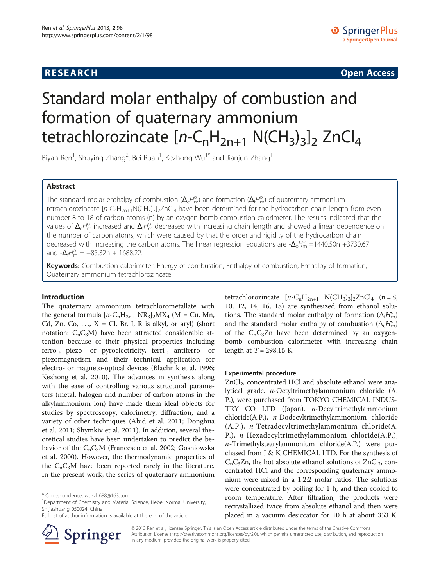**RESEARCH RESEARCH CONSUMING ACCESS** 

# Standard molar enthalpy of combustion and formation of quaternary ammonium tetrachlorozincate  $[n-C_nH_{2n+1} N(CH_3)_3]_2$  ZnCl<sub>4</sub>

Biyan Ren<sup>1</sup>, Shuying Zhang<sup>2</sup>, Bei Ruan<sup>1</sup>, Kezhong Wu<sup>1\*</sup> and Jianjun Zhang<sup>1</sup>

# Abstract

The standard molar enthalpy of combustion  $(\Delta_c H_m^{\circ})$  and formation  $(\Delta_f H_m^{\circ})$  of quaternary ammonium<br>tetrachlorozincate  $[nc, H_{2}, N/(H_{2})_{2}]$  have been determined for the bydrocarbon chain lengt tetrachlorozincate  $[n-C_nH_{2n+1}N(CH_3)3]$ znCl<sub>4</sub> have been determined for the hydrocarbon chain length from even number 8 to 18 of carbon atoms (n) by an oxygen-bomb combustion calorimeter. The results indicated that the values of  $\Delta_c H_{\rm m}^{\rm o}$  increased and  $\Delta_f H_{\rm m}^{\rm o}$  decreased with increasing chain length and showed a linear dependence on<br>the number of carbon atoms which were caused by that the order and rigidity of the hydroca the number of carbon atoms, which were caused by that the order and rigidity of the hydrocarbon chain decreased with increasing the carbon atoms. The linear regression equations are - $\Delta_c H_{\text{m}}^{\text{o}} = 1440.50$ n +3730.67<br>and - $\Delta_c H_{\text{m}}^{\text{o}} = -85.33$ n + 1688.22 and  $-\Delta_f H_{\text{m}}^{\text{o}} = -85.32 \text{n} + 1688.22$ .

Keywords: Combustion calorimeter, Energy of combustion, Enthalpy of combustion, Enthalpy of formation, Quaternary ammonium tetrachlorozincate

# Introduction

The quaternary ammonium tetrachlorometallate with the general formula  $[n-C_nH_{2n+1}NR_3]_2MX_4$  (M = Cu, Mn, Cd, Zn, Co, ...,  $X = Cl$ , Br, I, R is alkyl, or aryl) (short notation:  $C_nC_3M$ ) have been attracted considerable attention because of their physical properties including ferro-, piezo- or pyroelectricity, ferri-, antiferro- or piezomagnetism and their technical application for electro- or magneto-optical devices (Blachnik et al. [1996](#page-3-0); Kezhong et al. [2010\)](#page-3-0). The advances in synthesis along with the ease of controlling various structural parameters (metal, halogen and number of carbon atoms in the alkylammonium ion) have made them ideal objects for studies by spectroscopy, calorimetry, diffraction, and a variety of other techniques (Abid et al. [2011;](#page-3-0) Donghua et al. [2011](#page-3-0); Shymkiv et al. [2011](#page-4-0)). In addition, several theoretical studies have been undertaken to predict the behavior of the  $C_nC_3M$  (Francesco et al. [2002;](#page-3-0) Gosniowska et al. [2000\)](#page-3-0). However, the thermodynamic properties of the  $C_nC_3M$  have been reported rarely in the literature. In the present work, the series of quaternary ammonium

Full list of author information is available at the end of the article



tetrachlorozincate  $[n-C_nH_{2n+1} \ N(CH_3)_3]_2ZnCl_4$  (n = 8, 10, 12, 14, 16, 18) are synthesized from ethanol solutions. The standard molar enthalpy of formation  $(\Delta_f H_m^{\circ})$ <br>and the standard molar enthalpy of combustion  $(\Delta_f H^{\circ})$ and the standard molar enthalpy of combustion  $(\Delta_c H_m^{\circ})$ <br>of the C C-Zn have been determined by an oxygenof the  $C_nC_3Zn$  have been determined by an oxygenbomb combustion calorimeter with increasing chain length at  $T = 298.15$  K.

## Experimental procedure

ZnCl<sub>2</sub>, concentrated HCl and absolute ethanol were analytical grade. n-Octyltrimethylammonium chloride (A. P.), were purchased from TOKYO CHEMICAL INDUS-TRY CO LTD (Japan). n-Decyltrimethylammonium chloride(A.P.), n-Dodecyltrimethylammonium chloride (A.P.), n-Tetradecyltrimethylammonium chloride(A. P.), n-Hexadecyltrimethylammonium chloride(A.P.),  $n$ -Trimethylstearylammonium chloride(A.P.) were purchased from J & K CHEMICAL LTD. For the synthesis of  $C_nC_3Zn$ , the hot absolute ethanol solutions of  $ZnCl_2$ , concentrated HCl and the corresponding quaternary ammonium were mixed in a 1:2:2 molar ratios. The solutions were concentrated by boiling for 1 h, and then cooled to room temperature. After filtration, the products were recrystallized twice from absolute ethanol and then were placed in a vacuum desiccator for 10 h at about 353 K.

© 2013 Ren et al.; licensee Springer. This is an Open Access article distributed under the terms of the Creative Commons Attribution License [\(http://creativecommons.org/licenses/by/2.0\)](http://creativecommons.org/licenses/by/2.0), which permits unrestricted use, distribution, and reproduction in any medium, provided the original work is properly cited.

<sup>\*</sup> Correspondence: [wukzh688@163.com](mailto:wukzh688@163.com) <sup>1</sup>

<sup>&</sup>lt;sup>1</sup>Department of Chemistry and Material Science, Hebei Normal University, Shijiazhuang 050024, China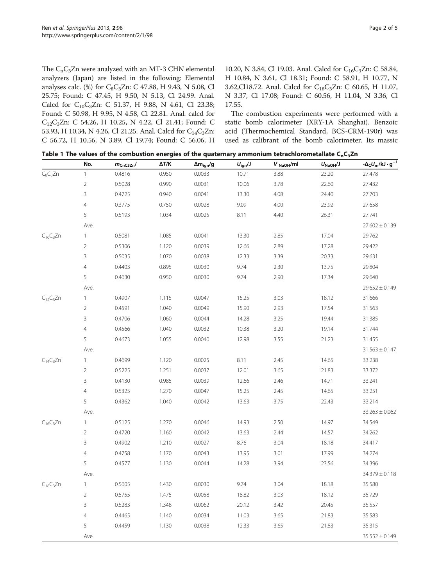<span id="page-1-0"></span>The  $C_nC_3Zn$  were analyzed with an MT-3 CHN elemental analyzers (Japan) are listed in the following: Elemental analyses calc. (%) for C<sub>8</sub>C<sub>3</sub>Zn: C 47.88, H 9.43, N 5.08, Cl 25.75; Found: C 47.45, H 9.50, N 5.13, Cl 24.99. Anal. Calcd for C<sub>10</sub>C<sub>3</sub>Zn: C 51.37, H 9.88, N 4.61, Cl 23.38; Found: C 50.98, H 9.95, N 4.58, Cl 22.81. Anal. calcd for C12C3Zn: C 54.26, H 10.25, N 4.22, Cl 21.41; Found: C 53.93, H 10.34, N 4.26, Cl 21.25. Anal. Calcd for C<sub>14</sub>C<sub>3</sub>Zn: C 56.72, H 10.56, N 3.89, Cl 19.74; Found: C 56.06, H

10.20, N 3.84, Cl 19.03. Anal. Calcd for C<sub>16</sub>C<sub>3</sub>Zn: C 58.84, H 10.84, N 3.61, Cl 18.31; Found: C 58.91, H 10.77, N 3.62,Cl18.72. Anal. Calcd for C<sub>18</sub>C<sub>3</sub>Zn: C 60.65, H 11.07, N 3.37, Cl 17.08; Found: C 60.56, H 11.04, N 3.36, Cl 17.55.

The combustion experiments were performed with a static bomb calorimeter (XRY-1A Shanghai). Benzoic acid (Thermochemical Standard, BCS-CRM-190r) was used as calibrant of the bomb calorimeter. Its massic

|                 | No.            | $m_{CnC3Zn}$ | $\Delta T/K$ | $\Delta m_{\rm ign}/g$ | $U_{\text{ign}}/J$ | $V_{\text{NaOH}}/ml$ | $U_{\text{NaOH}}/J$ | $-\Delta_C U_m/kJ \cdot g^{-1}$ |
|-----------------|----------------|--------------|--------------|------------------------|--------------------|----------------------|---------------------|---------------------------------|
| $C_8C_3Zn$      | $\mathbf{1}$   | 0.4816       | 0.950        | 0.0033                 | 10.71              | 3.88                 | 23.20               | 27.478                          |
|                 | $\overline{2}$ | 0.5028       | 0.990        | 0.0031                 | 10.06              | 3.78                 | 22.60               | 27.432                          |
|                 | $\overline{3}$ | 0.4725       | 0.940        | 0.0041                 | 13.30              | 4.08                 | 24.40               | 27.703                          |
|                 | $\overline{4}$ | 0.3775       | 0.750        | 0.0028                 | 9.09               | 4.00                 | 23.92               | 27.658                          |
|                 | 5              | 0.5193       | 1.034        | 0.0025                 | 8.11               | 4.40                 | 26.31               | 27.741                          |
|                 | Ave.           |              |              |                        |                    |                      |                     | $27.602 \pm 0.139$              |
| $C_{10}C_3Zn$   | $\mathbf{1}$   | 0.5081       | 1.085        | 0.0041                 | 13.30              | 2.85                 | 17.04               | 29.762                          |
|                 | $\overline{2}$ | 0.5306       | 1.120        | 0.0039                 | 12.66              | 2.89                 | 17.28               | 29.422                          |
|                 | $\overline{3}$ | 0.5035       | 1.070        | 0.0038                 | 12.33              | 3.39                 | 20.33               | 29.631                          |
|                 | $\overline{4}$ | 0.4403       | 0.895        | 0.0030                 | 9.74               | 2.30                 | 13.75               | 29.804                          |
|                 | 5              | 0.4630       | 0.950        | 0.0030                 | 9.74               | 2.90                 | 17.34               | 29.640                          |
|                 | Ave.           |              |              |                        |                    |                      |                     | $29.652 \pm 0.149$              |
| $C_{12}C_3Zn$   | $\mathbf{1}$   | 0.4907       | 1.115        | 0.0047                 | 15.25              | 3.03                 | 18.12               | 31.666                          |
|                 | $\overline{2}$ | 0.4591       | 1.040        | 0.0049                 | 15.90              | 2.93                 | 17.54               | 31.563                          |
|                 | $\mathbf{3}$   | 0.4706       | 1.060        | 0.0044                 | 14.28              | 3.25                 | 19.44               | 31.385                          |
|                 | $\overline{4}$ | 0.4566       | 1.040        | 0.0032                 | 10.38              | 3.20                 | 19.14               | 31.744                          |
|                 | 5              | 0.4673       | 1.055        | 0.0040                 | 12.98              | 3.55                 | 21.23               | 31.455                          |
|                 | Ave.           |              |              |                        |                    |                      |                     | $31.563 \pm 0.147$              |
| $C_{14}C_3Zn$   | $\mathbf{1}$   | 0.4699       | 1.120        | 0.0025                 | 8.11               | 2.45                 | 14.65               | 33.238                          |
|                 | $\overline{2}$ | 0.5225       | 1.251        | 0.0037                 | 12.01              | 3.65                 | 21.83               | 33.372                          |
|                 | $\overline{3}$ | 0.4130       | 0.985        | 0.0039                 | 12.66              | 2.46                 | 14.71               | 33.241                          |
|                 | $\overline{4}$ | 0.5325       | 1.270        | 0.0047                 | 15.25              | 2.45                 | 14.65               | 33.251                          |
|                 | 5              | 0.4362       | 1.040        | 0.0042                 | 13.63              | 3.75                 | 22.43               | 33.214                          |
|                 | Ave.           |              |              |                        |                    |                      |                     | $33.263 \pm 0.062$              |
| $C_{16}C_3Zn$   | $\mathbf{1}$   | 0.5125       | 1.270        | 0.0046                 | 14.93              | 2.50                 | 14.97               | 34.549                          |
|                 | $\overline{2}$ | 0.4720       | 1.160        | 0.0042                 | 13.63              | 2.44                 | 14.57               | 34.262                          |
|                 | $\mathbf{3}$   | 0.4902       | 1.210        | 0.0027                 | 8.76               | 3.04                 | 18.18               | 34.417                          |
|                 | $\overline{4}$ | 0.4758       | 1.170        | 0.0043                 | 13.95              | 3.01                 | 17.99               | 34.274                          |
|                 | 5              | 0.4577       | 1.130        | 0.0044                 | 14.28              | 3.94                 | 23.56               | 34.396                          |
|                 | Ave.           |              |              |                        |                    |                      |                     | $34.379 \pm 0.118$              |
| $C_{18}C_{3}Zn$ | $\mathbf{1}$   | 0.5605       | 1.430        | 0.0030                 | 9.74               | 3.04                 | 18.18               | 35.580                          |
|                 | $\overline{2}$ | 0.5755       | 1.475        | 0.0058                 | 18.82              | 3.03                 | 18.12               | 35.729                          |
|                 | $\mathbf{3}$   | 0.5283       | 1.348        | 0.0062                 | 20.12              | 3.42                 | 20.45               | 35.557                          |
|                 | $\overline{4}$ | 0.4465       | 1.140        | 0.0034                 | 11.03              | 3.65                 | 21.83               | 35.583                          |
|                 | 5              | 0.4459       | 1.130        | 0.0038                 | 12.33              | 3.65                 | 21.83               | 35.315                          |
|                 | Ave.           |              |              |                        |                    |                      |                     | $35.552 \pm 0.149$              |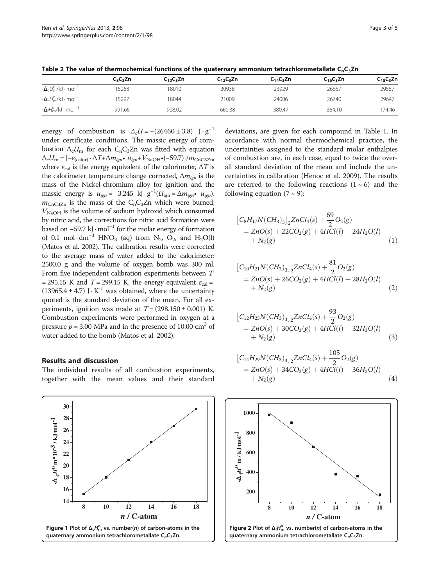<span id="page-2-0"></span>Table 2 The value of thermochemical functions of the quaternary ammonium tetrachlorometallate  $C_nC_3Zn$ 

|                                                    | $C_8C_3Zn$ | $C_{10}C_{3}Zn$ | $C_{12}C_{3}Zn$ | $C_{14}C_{3}Zn$ | $C_{16}C_{3}Zn$ | $C_{18}C_{3}Zn$ |
|----------------------------------------------------|------------|-----------------|-----------------|-----------------|-----------------|-----------------|
| $-\Delta_c U_{\rm m}^{\rm o}/\rm kJ\cdot mol^{-1}$ | '5268      | 18010           | 20938           | 23929           | 26657           | 29557           |
| $-\Delta_c H_m^{\circ}/kJ \cdot mol^{-1}$          | 15297      | 18044           | 21009           | 24006           | 26740           | 29647           |
| $-\Delta_f H_m^{\circ}/kJ \cdot mol^{-1}$          | 991.66     | 908.02          | 660.38          | 380.47          | 364.10          | 174.46          |
|                                                    |            |                 |                 |                 |                 |                 |

energy of combustion is  $\Delta_c U = -(26460 \pm 3.8) \text{ J} \cdot \text{g}^{-1}$ under certificate conditions. The massic energy of combustion  $\Delta_c U_m$  for each C<sub>n</sub>C<sub>3</sub>Zn was fitted with equation  $\Delta_{\rm c}U_{\rm m}=[-\varepsilon_{\rm (calor)}\cdot\Delta T+\Delta m_{ign}\bullet u_{ign}+V_{\rm NaOH}\bullet(-59.7)]/m_{\rm CnC3Zn},$ where  $\varepsilon_{\text{cal}}$  is the energy equivalent of the calorimeter,  $\Delta T$  is the calorimeter temperature change corrected,  $\Delta m_{ion}$  is the mass of the Nickel-chromium alloy for ignition and the massic energy is  $u_{ign} = -3.245 \text{ kJ} \cdot \text{g}^{-1} (U_{ign} = \Delta m_{ign}, u_{ign})$ .<br>We get is the mass of the C C-Zn which were burned.  $m_{\text{CnC3Zn}}$  is the mass of the C<sub>n</sub>C<sub>3</sub>Zn which were burned,  $V<sub>NaOH</sub>$  is the volume of sodium hydroxid which consumed by nitric acid, the corrections for nitric acid formation were based on  $-59.7$  kJ $\cdot$  mol<sup>-1</sup> for the molar energy of formation of 0.1 mol · dm<sup>-3</sup> HNO<sub>3</sub> (aq) from N<sub>2</sub>, O<sub>2</sub>, and H<sub>2</sub>O(l) (Matos et al. [2002\)](#page-3-0). The calibration results were corrected to the average mass of water added to the calorimeter: 2500.0 g and the volume of oxygen bomb was 300 ml. From five independent calibration experiments between T = 295.15 K and  $T = 299.15$  K, the energy equivalent  $\varepsilon_{\text{cal}}$  = (13965.4  $\pm$  4.7) J $\cdot$  K<sup>-1</sup> was obtained, where the uncertainty quoted is the standard deviation of the mean. For all experiments, ignition was made at  $T = (298.150 \pm 0.001)$  K. Combustion experiments were performed in oxygen at a pressure  $p = 3.00$  MPa and in the presence of 10.00 cm<sup>3</sup> of water added to the bomb (Matos et al. [2002](#page-3-0)).

# Results and discussion

The individual results of all combustion experiments, together with the mean values and their standard



deviations, are given for each compound in Table [1.](#page-1-0) In accordance with normal thermochemical practice, the uncertainties assigned to the standard molar enthalpies of combustion are, in each case, equal to twice the overall standard deviation of the mean and include the uncertainties in calibration (Henoc et al. [2009\)](#page-3-0). The results are referred to the following reactions  $(1 \sim 6)$  $(1 \sim 6)$  and the following equation  $(7 \sim 9)$  $(7 \sim 9)$  $(7 \sim 9)$ :

$$
\begin{aligned} & \left[ C_8 H_{17} N (CH_3)_3 \right]_2 Z n C l_4(s) + \frac{69}{2} O_2(g) \\ &= Z n O(s) + 22 C O_2(g) + 4 H C l(l) + 24 H_2 O(l) \\ &+ N_2(g) \end{aligned} \tag{1}
$$

$$
\begin{aligned} &\left[C_{10}H_{21}N(CH_3)_3\right]_2ZnCl_4(s) + \frac{81}{2}O_2(g) \\ &= ZnO(s) + 26CO_2(g) + 4HCl(l) + 28H_2O(l) \\ &+ N_2(g) \end{aligned} \tag{2}
$$

$$
\begin{aligned} & \left[C_{12}H_{25}N(CH_3)_3\right]_2 ZnCl_4(s) + \frac{93}{2}O_2(g) \\ &= ZnO(s) + 30CO_2(g) + 4HCl(l) + 32H_2O(l) \\ &+ N_2(g) \end{aligned} \tag{3}
$$

$$
\begin{aligned} & \left[C_{14}H_{29}N(CH_3)_3\right]_2 ZnCl_4(s) + \frac{105}{2}O_2(g) \\ &= ZnO(s) + 34CO_2(g) + 4HCl(l) + 36H_2O(l) \\ &+ N_2(g) \end{aligned} \tag{4}
$$

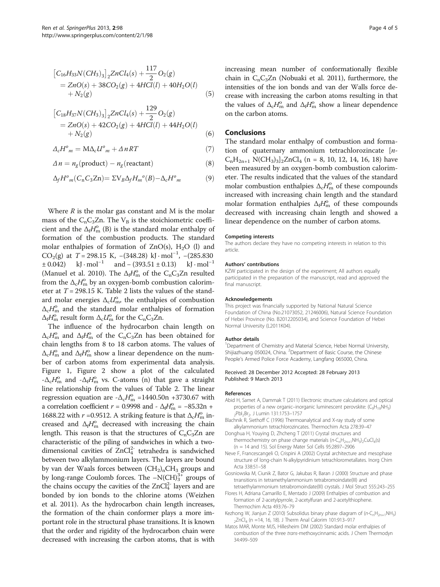<span id="page-3-0"></span>
$$
\begin{aligned} & \left[C_{16}H_{33}N(CH_3)_3\right]_2 ZnCl_4(s) + \frac{117}{2}O_2(g) \\ &= ZnO(s) + 38CO_2(g) + 4HCl(l) + 40H_2O(l) \\ &+ N_2(g) \end{aligned} \tag{5}
$$

$$
\begin{aligned} & \left[C_{18}H_{37}N(CH_3)_3\right]_2 ZnCl_4(s) + \frac{129}{2}O_2(g) \\ &= ZnO(s) + 42CO_2(g) + 4HCl(l) + 44H_2O(l) \\ &+ N_2(g) \end{aligned} \tag{6}
$$

 $\Delta_c H^o{}_m = M \Delta_c U^o{}_m + \Delta nRT$  (7)

$$
\Delta n = n_g(\text{product}) - n_g(\text{reactant}) \tag{8}
$$

$$
\Delta_f H^o{}_m(C_nC_3\mathbf{Zn}) = \Sigma V_B \Delta_f H_m^o(B) - \Delta_c H^o{}_m \tag{9}
$$

Where  $R$  is the molar gas constant and  $M$  is the molar mass of the  $C_nC_3Zn$ . The  $V_B$  is the stoichiometric coefficient and the  $\Delta_f H_{\text{m}}^{\text{o}}$  (B) is the standard molar enthalpy of formation of the combustion products. The standard formation of the combustion products. The standard molar enthalpies of formation of  $ZnO(s)$ , H<sub>2</sub>O (l) and CO<sub>2</sub>(g) at  $T = 298.15$  K,  $-(348.28)$  kJ·mol<sup>-1</sup>,  $-(285.830 + 0.042)$  kJ·mol<sup>-1</sup> and  $-(393.51 + 0.13)$  kJ·mol<sup>-1</sup>  $\pm 0.042$ ) kJ · mol<sup>-1</sup> and – (393.51  $\pm 0.13$ ) kJ · mol<sup>-1</sup> (Manuel et al. [2010\)](#page-4-0). The  $\Delta_f H_{\text{m}}^0$  of the  $C_n C_3 Zn$  resulted<br>from the  $\Delta_f H_{\text{m}}^0$  by an oxygen-bomb combustion calorimfrom the  $\Delta_c H_{\text{m}}^0$  by an oxygen-bomb combustion calorim-<br>eter at  $T = 298.15$  K. Table 2 lists the values of the standeter at  $T = 298.15$  $T = 298.15$  $T = 298.15$  K. Table 2 lists the values of the standard molar energies  $\Delta_c U_{\text{nn}}^{\text{o}}$ , the enthalpies of combustion  $\Delta H^{\text{o}}$  and the standard molar enthalpies of formation  $\Delta_c H_{\rm m}^{\rm o}$  and the standard molar enthalpies of formation  $\Delta H_{\rm m}^{\rm o}$  result form  $\Delta H_{\rm m}^{\rm o}$  for the C C.Zn  $\Delta_f H_{\rm m}^{\rm o}$  result form  $\Delta_c U_{\rm m}^{\rm o}$  for the C<sub>n</sub>C<sub>3</sub>Zn.<br>The influence of the bydrocarbon

The influence of the hydrocarbon chain length on  $\Delta_c H_{\rm m}^{\rm o}$  and  $\Delta_f H_{\rm m}^{\rm o}$  of the C<sub>n</sub>C<sub>3</sub>Zn has been obtained for chain lengths from 8 to 18 carbon atoms. The values of chain lengths from 8 to 18 carbon atoms. The values of  $\Delta_c H_{\rm m}^{\rm o}$  and  $\Delta_f H_{\rm m}^{\rm o}$  show a linear dependence on the num-<br>her of carbon atoms from experimental data analysis ber of carbon atoms from experimental data analysis. Figure [1,](#page-2-0) Figure [2](#page-2-0) show a plot of the calculated  $-\Delta_c H_{\text{m}}^0$  and  $-\Delta_f H_{\text{m}}^0$  vs. C-atoms (n) that gave a straight  $\Delta_f H_{\text{m}}^0$  and  $-\Delta_f H_{\text{m}}^0$  is  $\Delta_f H_{\text{m}}^0$  and  $\Delta_f H_{\text{m}}^0$  is  $\Delta_f H_{\text{m}}^0$  and  $\Delta_f H_{\text{m}}^0$  is  $\Delta_f H_{\text{m}}^0$  and  $\Delta_f H_{\text{m}}^0$  is  $\$ line relationship from the values of Table [2](#page-2-0). The linear regression equation are  $-\Delta_c H_{\text{m}}^{\text{o}} = 1440.50$  m +3730.67 with a correlation coefficient  $r = 0.9998$  and  $\Delta H^{\text{o}} = -85.32$  m  $\pm$ a correlation coefficient  $r = 0.9998$  and  $\sim \Delta_f H_{\text{m}}^0 = -85.32 \text{ n} + 1688.22$  with  $r = 0.9512$ . A striking feature is that  $\Delta H^0$  in 1688.22 with  $r = 0.9512$ . A striking feature is that  $\Delta_c H_{\text{m}}^{\text{o}}$  in-<br>creased and  $\Delta_c H^{\text{o}}$  decreased with increasing the chain creased and  $\Delta_f H_m^0$  decreased with increasing the chain<br>length. This reason is that the structures of C.C.Zn are length. This reason is that the structures of  $C_nC_3Zn$  are characteristic of the piling of sandwiches in which a twodimensional cavities of  $ZnCl<sub>4</sub><sup>2</sup>$  tetrahedra is sandwiched between two alkylammonium layers. The layers are bound by van der Waals forces between  $(CH_2)_nCH_3$  groups and by long-range Coulomb forces. The  $-N(CH)_3^{3+}$  groups of the chains occupy the cavities of the  $ZnCl<sub>4</sub><sup>2</sup>$  layers and are bonded by ion bonds to the chlorine atoms (Weizhen et al. [2011\)](#page-4-0). As the hydrocarbon chain length increases, the formation of the chain conformer plays a more important role in the structural phase transitions. It is known that the order and rigidity of the hydrocarbon chain were decreased with increasing the carbon atoms, that is with increasing mean number of conformationally flexible chain in  $C_nC_3Zn$  (Nobuaki et al. [2011](#page-4-0)), furthermore, the intensities of the ion bonds and van der Walls force decrease with increasing the carbon atoms resulting in that the values of  $\Delta_c H_{\text{m}}^{\text{o}}$  and  $\Delta_f H_{\text{m}}^{\text{o}}$  show a linear dependence on the carbon atoms.

# Conclusions

The standard molar enthalpy of combustion and formation of quaternary ammonium tetrachlorozincate [n- $C_nH_{2n+1}$  N(CH<sub>3</sub>)<sub>3</sub>]<sub>2</sub>ZnCl<sub>4</sub> (n = 8, 10, 12, 14, 16, 18) have been measured by an oxygen-bomb combustion calorimeter. The results indicated that the values of the standard molar combustion enthalpies  $\Delta_c H_m^{\circ}$  of these compounds<br>increased with increasing chain length and the standard increased with increasing chain length and the standard molar formation enthalpies  $\Delta_f H_{\text{m}}^0$  of these compounds<br>decreased with increasing chain length and showed a decreased with increasing chain length and showed a linear dependence on the number of carbon atoms.

#### Competing interests

The authors declare they have no competing interests in relation to this article.

#### Authors' contributions

KZW participated in the design of the experiment; All authors equally participated in the preparation of the manuscript, read and approved the final manuscript

#### Acknowledgements

This project was financially supported by National Natural Science Foundation of China (No.21073052, 21246006), Natural Science Foundation of Hebei Province (No. B2012205034), and Science Foundation of Hebei Normal University (L2011K04).

#### Author details

<sup>1</sup>Department of Chemistry and Material Science, Hebei Normal University, Shijiazhuang 050024, China. <sup>2</sup> Department of Basic Course, the Chinese People's Armed Police Force Academy, Langfang 065000, China.

#### Received: 28 December 2012 Accepted: 28 February 2013 Published: 9 March 2013

#### References

- Abid H, Samet A, Dammak T (2011) Electronic structure calculations and optical properties of a new organic-inorganic luminescent perovskite: (C<sub>9</sub>H<sub>19</sub>NH<sub>3</sub>) 2PbI2Br2. J Lumin 131:1753–1757
- Blachnik R, Siethoff C (1996) Thermoanalytical and X-ray study of some alkylammonium tetrachlorozincates. Thermochim Acta 278:39–47
- Donghua H, Youying D, Zhcheng T (2011) Crystal structures and thermochemistry on phase change materials  $(n-C_nH_{2n+1}NH_3)_{2}CuCl_4(s)$ (n = 14 and 15). Sol Energy Mater Sol Cells 95:2897–2906
- Neve F, Francescangeli O, Crispini A (2002) Crystal architecture and mesophase structure of long-chain N-alkylpyridinium tetrachlorometallates. Inorg Chim Acta 338:51–58
- Gosniowska M, Ciunik Z, Bator G, Jakubas R, Baran J (2000) Structure and phase trransitions in tetramethylammonium tetrabromoindate(III) and tetraethylammonium tetrabromoindate(III) crystals. J Mol Struct 555:243–255
- Flores H, Adriana Camarillo E, Mentado J (2009) Enthalpies of combustion and formation of 2-acetylpyrrole, 2-acetylfuran and 2-acetylthiophene. Thermochim Acta 493:76–79
- Kezhong W, Jianjun Z (2010) Subsolidus binary phase diagram of (n-C<sub>n</sub>H<sub>2n+1</sub>NH<sub>3</sub>)  $_{2}ZnCl_{4}$  (n =14, 16, 18). J Therm Anal Calorim 101:913-917
- Matos MAR, Monte MJS, Hillesheim DM (2002) Standard molar enthalpies of combustion of the three trans-methoxycinnamic acids. J Chem Thermodyn 34:499–509